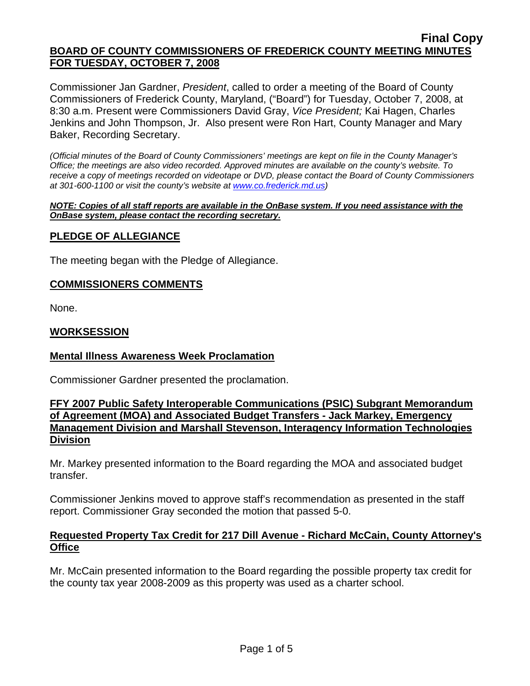Commissioner Jan Gardner, *President*, called to order a meeting of the Board of County Commissioners of Frederick County, Maryland, ("Board") for Tuesday, October 7, 2008, at 8:30 a.m. Present were Commissioners David Gray, *Vice President;* Kai Hagen, Charles Jenkins and John Thompson, Jr. Also present were Ron Hart, County Manager and Mary Baker, Recording Secretary.

*(Official minutes of the Board of County Commissioners' meetings are kept on file in the County Manager's Office; the meetings are also video recorded. Approved minutes are available on the county's website. To receive a copy of meetings recorded on videotape or DVD, please contact the Board of County Commissioners at 301-600-1100 or visit the county's website at [www.co.frederick.md.us\)](http://www.co.frederick.md.us/)* 

*NOTE: Copies of all staff reports are available in the OnBase system. If you need assistance with the OnBase system, please contact the recording secretary.*

### **PLEDGE OF ALLEGIANCE**

The meeting began with the Pledge of Allegiance.

#### **COMMISSIONERS COMMENTS**

None.

#### **WORKSESSION**

#### **Mental Illness Awareness Week Proclamation**

Commissioner Gardner presented the proclamation.

## **FFY 2007 Public Safety Interoperable Communications (PSIC) Subgrant Memorandum of Agreement (MOA) and Associated Budget Transfers - Jack Markey, Emergency Management Division and Marshall Stevenson, Interagency Information Technologies Division**

Mr. Markey presented information to the Board regarding the MOA and associated budget transfer.

Commissioner Jenkins moved to approve staff's recommendation as presented in the staff report. Commissioner Gray seconded the motion that passed 5-0.

### **Requested Property Tax Credit for 217 Dill Avenue - Richard McCain, County Attorney's Office**

Mr. McCain presented information to the Board regarding the possible property tax credit for the county tax year 2008-2009 as this property was used as a charter school.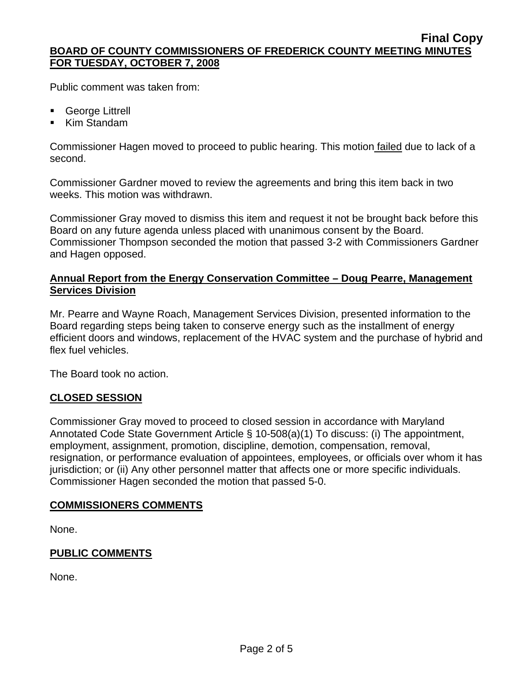Public comment was taken from:

- **George Littrell**
- Kim Standam

Commissioner Hagen moved to proceed to public hearing. This motion failed due to lack of a second.

Commissioner Gardner moved to review the agreements and bring this item back in two weeks. This motion was withdrawn.

Commissioner Gray moved to dismiss this item and request it not be brought back before this Board on any future agenda unless placed with unanimous consent by the Board. Commissioner Thompson seconded the motion that passed 3-2 with Commissioners Gardner and Hagen opposed.

# **Annual Report from the Energy Conservation Committee – Doug Pearre, Management Services Division**

Mr. Pearre and Wayne Roach, Management Services Division, presented information to the Board regarding steps being taken to conserve energy such as the installment of energy efficient doors and windows, replacement of the HVAC system and the purchase of hybrid and flex fuel vehicles.

The Board took no action.

## **CLOSED SESSION**

Commissioner Gray moved to proceed to closed session in accordance with Maryland Annotated Code State Government Article § 10-508(a)(1) To discuss: (i) The appointment, employment, assignment, promotion, discipline, demotion, compensation, removal, resignation, or performance evaluation of appointees, employees, or officials over whom it has jurisdiction; or (ii) Any other personnel matter that affects one or more specific individuals. Commissioner Hagen seconded the motion that passed 5-0.

## **COMMISSIONERS COMMENTS**

None.

# **PUBLIC COMMENTS**

None.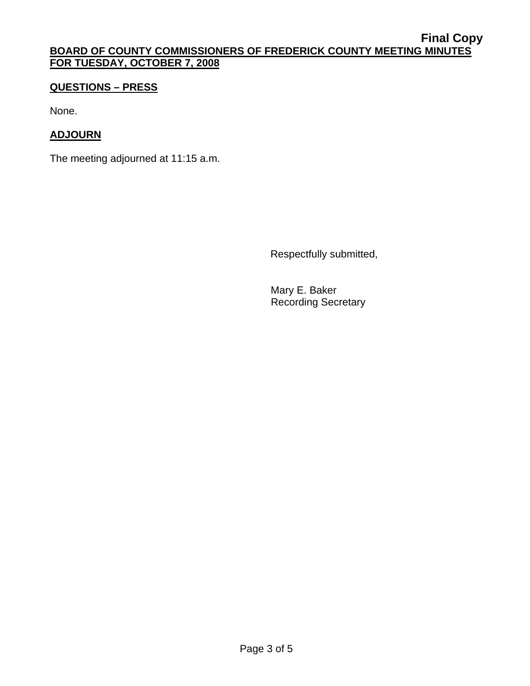# **QUESTIONS – PRESS**

None.

# **ADJOURN**

The meeting adjourned at 11:15 a.m.

Respectfully submitted,

 Mary E. Baker Recording Secretary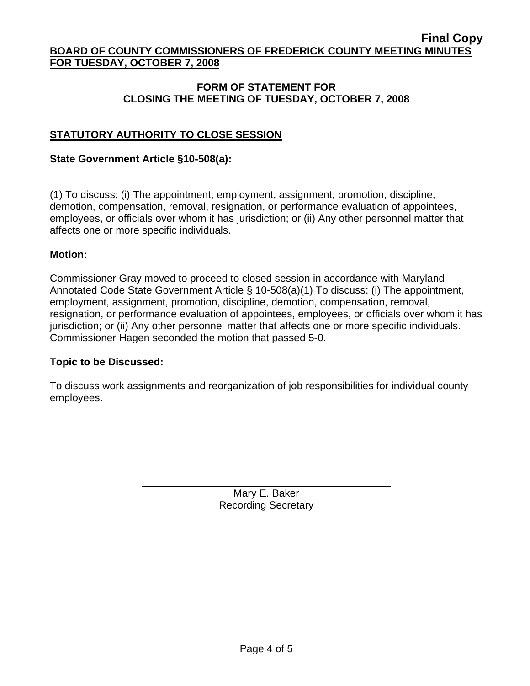## **FORM OF STATEMENT FOR CLOSING THE MEETING OF TUESDAY, OCTOBER 7, 2008**

# **STATUTORY AUTHORITY TO CLOSE SESSION**

## **State Government Article §10-508(a):**

(1) To discuss: (i) The appointment, employment, assignment, promotion, discipline, demotion, compensation, removal, resignation, or performance evaluation of appointees, employees, or officials over whom it has jurisdiction; or (ii) Any other personnel matter that affects one or more specific individuals.

### **Motion:**

Commissioner Gray moved to proceed to closed session in accordance with Maryland Annotated Code State Government Article § 10-508(a)(1) To discuss: (i) The appointment, employment, assignment, promotion, discipline, demotion, compensation, removal, resignation, or performance evaluation of appointees, employees, or officials over whom it has jurisdiction; or (ii) Any other personnel matter that affects one or more specific individuals. Commissioner Hagen seconded the motion that passed 5-0.

#### **Topic to be Discussed:**

 $\overline{a}$ 

To discuss work assignments and reorganization of job responsibilities for individual county employees.

> Mary E. Baker Recording Secretary